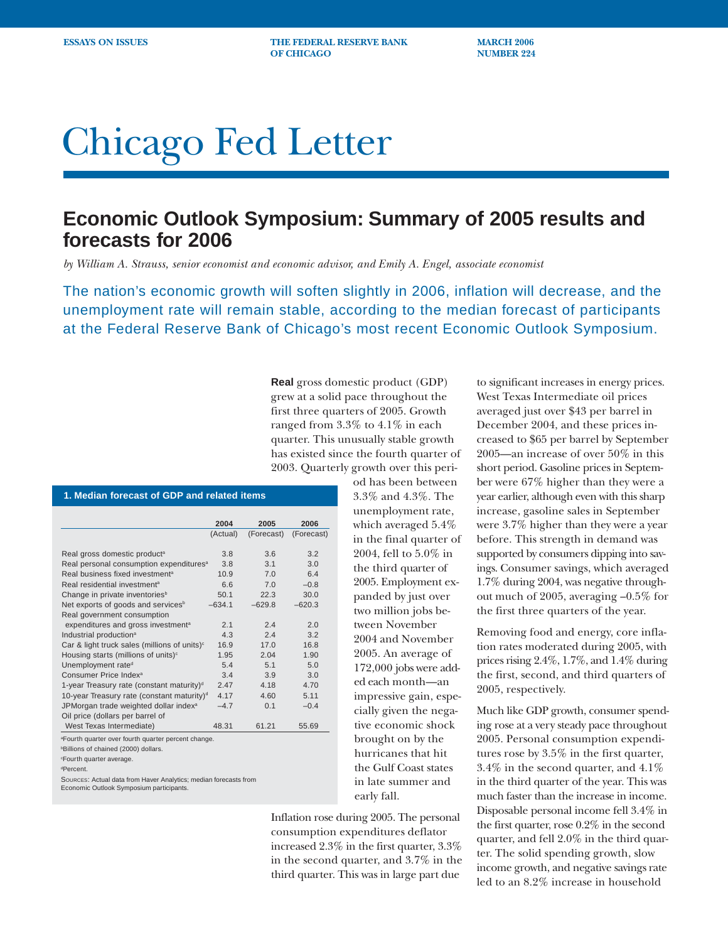**ESSAYS ON ISSUES THE FEDERAL RESERVE BANK MARCH 2006 OF CHICAGO NUMBER 224** 

# Chicago Fed Letter

## **Economic Outlook Symposium: Summary of 2005 results and forecasts for 2006**

*by William A. Strauss, senior economist and economic advisor, and Emily A. Engel, associate economist*

The nation's economic growth will soften slightly in 2006, inflation will decrease, and the unemployment rate will remain stable, according to the median forecast of participants at the Federal Reserve Bank of Chicago's most recent Economic Outlook Symposium.

> **Real** gross domestic product (GDP) grew at a solid pace throughout the first three quarters of 2005. Growth ranged from 3.3% to 4.1% in each quarter. This unusually stable growth has existed since the fourth quarter of 2003. Quarterly growth over this peri-

#### **1. Median forecast of GDP and related items**

|                                                          | 2004     | 2005            | 2006       |
|----------------------------------------------------------|----------|-----------------|------------|
|                                                          | (Actual) | (Forecast)      | (Forecast) |
|                                                          |          |                 |            |
| Real gross domestic product <sup>a</sup>                 | 3.8      | 3.6             | 3.2        |
| Real personal consumption expenditures <sup>a</sup>      | 3.8      | $\overline{3}1$ | 3.0        |
| Real business fixed investment <sup>a</sup>              | 10.9     | 70              | 6.4        |
| Real residential investment <sup>a</sup>                 | 6.6      | 7.0             | $-0.8$     |
| Change in private inventories <sup>b</sup>               | 50.1     | 22.3            | 30.0       |
| Net exports of goods and services <sup>b</sup>           | $-634.1$ | $-629.8$        | $-620.3$   |
| Real government consumption                              |          |                 |            |
| expenditures and gross investment <sup>a</sup>           | 2.1      | 24              | 2.0        |
| Industrial production <sup>a</sup>                       | 4.3      | 24              | 3.2        |
| Car & light truck sales (millions of units) <sup>c</sup> | 16.9     | 17.0            | 16.8       |
| Housing starts (millions of units) <sup>c</sup>          | 1.95     | 204             | 1.90       |
| Unemployment rate <sup>d</sup>                           | 5.4      | 5.1             | 5.0        |
| Consumer Price Index <sup>a</sup>                        | 3.4      | 3.9             | 3.0        |
| 1-year Treasury rate (constant maturity) <sup>d</sup>    | 247      | 4.18            | 4.70       |
| 10-year Treasury rate (constant maturity) <sup>d</sup>   | 4.17     | 4.60            | 5.11       |
| JPMorgan trade weighted dollar index <sup>a</sup>        | $-4.7$   | 0.1             | $-0.4$     |
| Oil price (dollars per barrel of                         |          |                 |            |
| West Texas Intermediate)                                 | 48.31    | 61.21           | 55.69      |

a Fourth quarter over fourth quarter percent change.

b Billions of chained (2000) dollars.

c Fourth quarter average.

dPercent.

SOURCES: Actual data from Haver Analytics; median forecasts from Economic Outlook Symposium participants.

od has been between 3.3% and 4.3%. The unemployment rate, which averaged 5.4% in the final quarter of 2004, fell to 5.0% in the third quarter of 2005. Employment expanded by just over two million jobs between November 2004 and November 2005. An average of 172,000 jobs were added each month—an impressive gain, especially given the negative economic shock brought on by the hurricanes that hit the Gulf Coast states in late summer and early fall.

Inflation rose during 2005. The personal consumption expenditures deflator increased 2.3% in the first quarter, 3.3% in the second quarter, and 3.7% in the third quarter. This was in large part due

to significant increases in energy prices. West Texas Intermediate oil prices averaged just over \$43 per barrel in December 2004, and these prices increased to \$65 per barrel by September 2005—an increase of over 50% in this short period. Gasoline prices in September were 67% higher than they were a year earlier, although even with this sharp increase, gasoline sales in September were 3.7% higher than they were a year before. This strength in demand was supported by consumers dipping into savings. Consumer savings, which averaged 1.7% during 2004, was negative throughout much of 2005, averaging –0.5% for the first three quarters of the year.

Removing food and energy, core inflation rates moderated during 2005, with prices rising 2.4%, 1.7%, and 1.4% during the first, second, and third quarters of 2005, respectively.

Much like GDP growth, consumer spending rose at a very steady pace throughout 2005. Personal consumption expenditures rose by 3.5% in the first quarter, 3.4% in the second quarter, and 4.1% in the third quarter of the year. This was much faster than the increase in income. Disposable personal income fell 3.4% in the first quarter, rose 0.2% in the second quarter, and fell 2.0% in the third quarter. The solid spending growth, slow income growth, and negative savings rate led to an 8.2% increase in household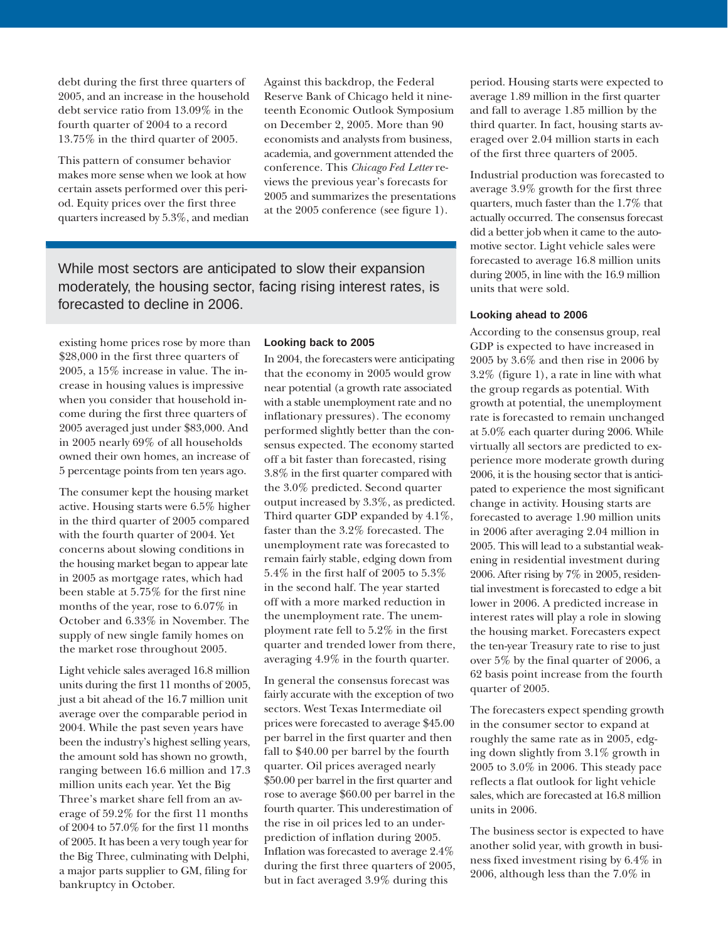debt during the first three quarters of 2005, and an increase in the household debt service ratio from 13.09% in the fourth quarter of 2004 to a record 13.75% in the third quarter of 2005.

This pattern of consumer behavior makes more sense when we look at how certain assets performed over this period. Equity prices over the first three quarters increased by 5.3%, and median Against this backdrop, the Federal Reserve Bank of Chicago held it nineteenth Economic Outlook Symposium on December 2, 2005. More than 90 economists and analysts from business, academia, and government attended the conference. This *Chicago Fed Letter* reviews the previous year's forecasts for 2005 and summarizes the presentations at the 2005 conference (see figure 1).

While most sectors are anticipated to slow their expansion moderately, the housing sector, facing rising interest rates, is forecasted to decline in 2006.

existing home prices rose by more than \$28,000 in the first three quarters of 2005, a 15% increase in value. The increase in housing values is impressive when you consider that household income during the first three quarters of 2005 averaged just under \$83,000. And in 2005 nearly 69% of all households owned their own homes, an increase of 5 percentage points from ten years ago.

The consumer kept the housing market active. Housing starts were 6.5% higher in the third quarter of 2005 compared with the fourth quarter of 2004. Yet concerns about slowing conditions in the housing market began to appear late in 2005 as mortgage rates, which had been stable at 5.75% for the first nine months of the year, rose to 6.07% in October and 6.33% in November. The supply of new single family homes on the market rose throughout 2005.

Light vehicle sales averaged 16.8 million units during the first 11 months of 2005, just a bit ahead of the 16.7 million unit average over the comparable period in 2004. While the past seven years have been the industry's highest selling years, the amount sold has shown no growth, ranging between 16.6 million and 17.3 million units each year. Yet the Big Three's market share fell from an average of 59.2% for the first 11 months of 2004 to 57.0% for the first 11 months of 2005. It has been a very tough year for the Big Three, culminating with Delphi, a major parts supplier to GM, filing for bankruptcy in October.

#### **Looking back to 2005**

In 2004, the forecasters were anticipating that the economy in 2005 would grow near potential (a growth rate associated with a stable unemployment rate and no inflationary pressures). The economy performed slightly better than the consensus expected. The economy started off a bit faster than forecasted, rising 3.8% in the first quarter compared with the 3.0% predicted. Second quarter output increased by 3.3%, as predicted. Third quarter GDP expanded by 4.1%, faster than the 3.2% forecasted. The unemployment rate was forecasted to remain fairly stable, edging down from 5.4% in the first half of 2005 to 5.3% in the second half. The year started off with a more marked reduction in the unemployment rate. The unemployment rate fell to 5.2% in the first quarter and trended lower from there, averaging 4.9% in the fourth quarter.

In general the consensus forecast was fairly accurate with the exception of two sectors. West Texas Intermediate oil prices were forecasted to average \$45.00 per barrel in the first quarter and then fall to \$40.00 per barrel by the fourth quarter. Oil prices averaged nearly \$50.00 per barrel in the first quarter and rose to average \$60.00 per barrel in the fourth quarter. This underestimation of the rise in oil prices led to an underprediction of inflation during 2005. Inflation was forecasted to average 2.4% during the first three quarters of 2005, but in fact averaged 3.9% during this

period. Housing starts were expected to average 1.89 million in the first quarter and fall to average 1.85 million by the third quarter. In fact, housing starts averaged over 2.04 million starts in each of the first three quarters of 2005.

Industrial production was forecasted to average 3.9% growth for the first three quarters, much faster than the 1.7% that actually occurred. The consensus forecast did a better job when it came to the automotive sector. Light vehicle sales were forecasted to average 16.8 million units during 2005, in line with the 16.9 million units that were sold.

#### **Looking ahead to 2006**

According to the consensus group, real GDP is expected to have increased in 2005 by 3.6% and then rise in 2006 by 3.2% (figure 1), a rate in line with what the group regards as potential. With growth at potential, the unemployment rate is forecasted to remain unchanged at 5.0% each quarter during 2006. While virtually all sectors are predicted to experience more moderate growth during 2006, it is the housing sector that is anticipated to experience the most significant change in activity. Housing starts are forecasted to average 1.90 million units in 2006 after averaging 2.04 million in 2005. This will lead to a substantial weakening in residential investment during 2006. After rising by 7% in 2005, residential investment is forecasted to edge a bit lower in 2006. A predicted increase in interest rates will play a role in slowing the housing market. Forecasters expect the ten-year Treasury rate to rise to just over 5% by the final quarter of 2006, a 62 basis point increase from the fourth quarter of 2005.

The forecasters expect spending growth in the consumer sector to expand at roughly the same rate as in 2005, edging down slightly from 3.1% growth in 2005 to 3.0% in 2006. This steady pace reflects a flat outlook for light vehicle sales, which are forecasted at 16.8 million units in 2006.

The business sector is expected to have another solid year, with growth in business fixed investment rising by 6.4% in 2006, although less than the 7.0% in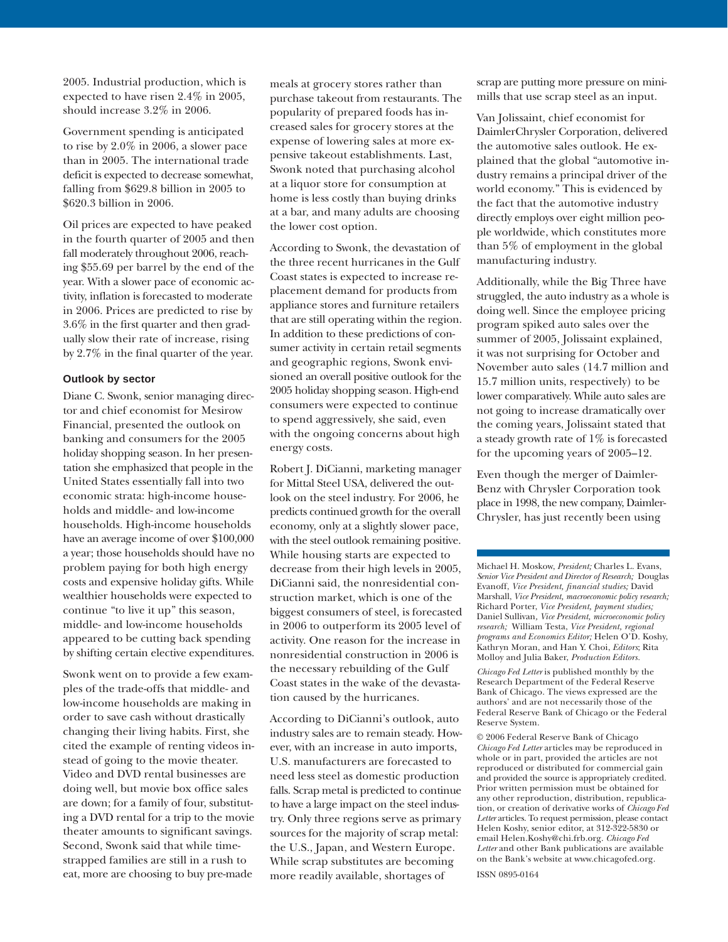2005. Industrial production, which is expected to have risen 2.4% in 2005, should increase 3.2% in 2006.

Government spending is anticipated to rise by 2.0% in 2006, a slower pace than in 2005. The international trade deficit is expected to decrease somewhat, falling from \$629.8 billion in 2005 to \$620.3 billion in 2006.

Oil prices are expected to have peaked in the fourth quarter of 2005 and then fall moderately throughout 2006, reaching \$55.69 per barrel by the end of the year. With a slower pace of economic activity, inflation is forecasted to moderate in 2006. Prices are predicted to rise by 3.6% in the first quarter and then gradually slow their rate of increase, rising by 2.7% in the final quarter of the year.

#### **Outlook by sector**

Diane C. Swonk, senior managing director and chief economist for Mesirow Financial, presented the outlook on banking and consumers for the 2005 holiday shopping season. In her presentation she emphasized that people in the United States essentially fall into two economic strata: high-income households and middle- and low-income households. High-income households have an average income of over \$100,000 a year; those households should have no problem paying for both high energy costs and expensive holiday gifts. While wealthier households were expected to continue "to live it up" this season, middle- and low-income households appeared to be cutting back spending by shifting certain elective expenditures.

Swonk went on to provide a few examples of the trade-offs that middle- and low-income households are making in order to save cash without drastically changing their living habits. First, she cited the example of renting videos instead of going to the movie theater. Video and DVD rental businesses are doing well, but movie box office sales are down; for a family of four, substituting a DVD rental for a trip to the movie theater amounts to significant savings. Second, Swonk said that while timestrapped families are still in a rush to eat, more are choosing to buy pre-made

meals at grocery stores rather than purchase takeout from restaurants. The popularity of prepared foods has increased sales for grocery stores at the expense of lowering sales at more expensive takeout establishments. Last, Swonk noted that purchasing alcohol at a liquor store for consumption at home is less costly than buying drinks at a bar, and many adults are choosing the lower cost option.

According to Swonk, the devastation of the three recent hurricanes in the Gulf Coast states is expected to increase replacement demand for products from appliance stores and furniture retailers that are still operating within the region. In addition to these predictions of consumer activity in certain retail segments and geographic regions, Swonk envisioned an overall positive outlook for the 2005 holiday shopping season. High-end consumers were expected to continue to spend aggressively, she said, even with the ongoing concerns about high energy costs.

Robert J. DiCianni, marketing manager for Mittal Steel USA, delivered the outlook on the steel industry. For 2006, he predicts continued growth for the overall economy, only at a slightly slower pace, with the steel outlook remaining positive. While housing starts are expected to decrease from their high levels in 2005, DiCianni said, the nonresidential construction market, which is one of the biggest consumers of steel, is forecasted in 2006 to outperform its 2005 level of activity. One reason for the increase in nonresidential construction in 2006 is the necessary rebuilding of the Gulf Coast states in the wake of the devastation caused by the hurricanes.

According to DiCianni's outlook, auto industry sales are to remain steady. However, with an increase in auto imports, U.S. manufacturers are forecasted to need less steel as domestic production falls. Scrap metal is predicted to continue to have a large impact on the steel industry. Only three regions serve as primary sources for the majority of scrap metal: the U.S., Japan, and Western Europe. While scrap substitutes are becoming more readily available, shortages of

scrap are putting more pressure on minimills that use scrap steel as an input.

Van Jolissaint, chief economist for DaimlerChrysler Corporation, delivered the automotive sales outlook. He explained that the global "automotive industry remains a principal driver of the world economy." This is evidenced by the fact that the automotive industry directly employs over eight million people worldwide, which constitutes more than 5% of employment in the global manufacturing industry.

Additionally, while the Big Three have struggled, the auto industry as a whole is doing well. Since the employee pricing program spiked auto sales over the summer of 2005, Jolissaint explained, it was not surprising for October and November auto sales (14.7 million and 15.7 million units, respectively) to be lower comparatively. While auto sales are not going to increase dramatically over the coming years, Jolissaint stated that a steady growth rate of 1% is forecasted for the upcoming years of 2005–12.

Even though the merger of Daimler-Benz with Chrysler Corporation took place in 1998, the new company, Daimler-Chrysler, has just recently been using

Michael H. Moskow, *President;* Charles L. Evans, *Senior Vice President and Director of Research;* Douglas Evanoff, *Vice President, financial studies;* David Marshall, *Vice President, macroeconomic policy research;* Richard Porter, *Vice President, payment studies;* Daniel Sullivan*, Vice President, microeconomic policy research;* William Testa, *Vice President, regional programs and Economics Editor;* Helen O'D. Koshy, Kathryn Moran, and Han Y. Choi, *Editors*; Rita Molloy and Julia Baker, *Production Editors.*

*Chicago Fed Letter* is published monthly by the Research Department of the Federal Reserve Bank of Chicago. The views expressed are the authors' and are not necessarily those of the Federal Reserve Bank of Chicago or the Federal Reserve System.

© 2006 Federal Reserve Bank of Chicago *Chicago Fed Letter* articles may be reproduced in whole or in part, provided the articles are not reproduced or distributed for commercial gain and provided the source is appropriately credited. Prior written permission must be obtained for any other reproduction, distribution, republication, or creation of derivative works of *Chicago Fed Letter* articles. To request permission, please contact Helen Koshy, senior editor, at 312-322-5830 or email Helen.Koshy@chi.frb.org. *Chicago Fed Letter* and other Bank publications are available on the Bank's website at www.chicagofed.org.

ISSN 0895-0164